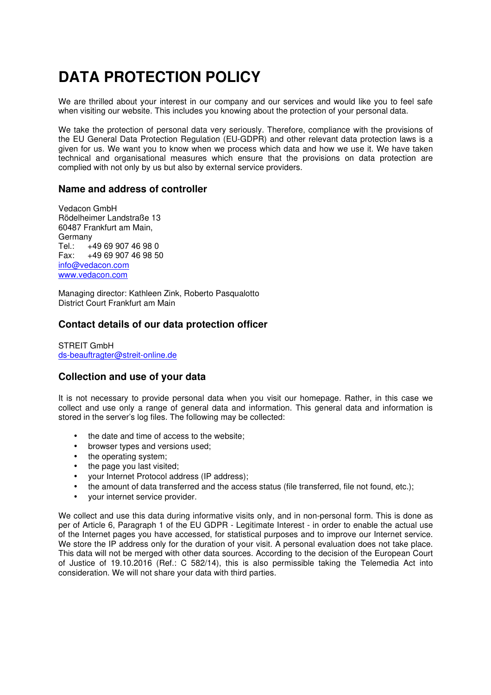# **DATA PROTECTION POLICY**

We are thrilled about your interest in our company and our services and would like you to feel safe when visiting our website. This includes you knowing about the protection of your personal data.

We take the protection of personal data very seriously. Therefore, compliance with the provisions of the EU General Data Protection Regulation (EU-GDPR) and other relevant data protection laws is a given for us. We want you to know when we process which data and how we use it. We have taken technical and organisational measures which ensure that the provisions on data protection are complied with not only by us but also by external service providers.

## **Name and address of controller**

Vedacon GmbH Rödelheimer Landstraße 13 60487 Frankfurt am Main, Germany Tel.: +49 69 907 46 98 0 Fax: +49 69 907 46 98 50 info@vedacon.com www.vedacon.com

Managing director: Kathleen Zink, Roberto Pasqualotto District Court Frankfurt am Main

# **Contact details of our data protection officer**

STREIT GmbH ds-beauftragter@streit-online.de

## **Collection and use of your data**

It is not necessary to provide personal data when you visit our homepage. Rather, in this case we collect and use only a range of general data and information. This general data and information is stored in the server's log files. The following may be collected:

- the date and time of access to the website;
- browser types and versions used;
- the operating system;
- the page you last visited;
- your Internet Protocol address (IP address);
- the amount of data transferred and the access status (file transferred, file not found, etc.);
- your internet service provider.

We collect and use this data during informative visits only, and in non-personal form. This is done as per of Article 6, Paragraph 1 of the EU GDPR - Legitimate Interest - in order to enable the actual use of the Internet pages you have accessed, for statistical purposes and to improve our Internet service. We store the IP address only for the duration of your visit. A personal evaluation does not take place. This data will not be merged with other data sources. According to the decision of the European Court of Justice of 19.10.2016 (Ref.: C 582/14), this is also permissible taking the Telemedia Act into consideration. We will not share your data with third parties.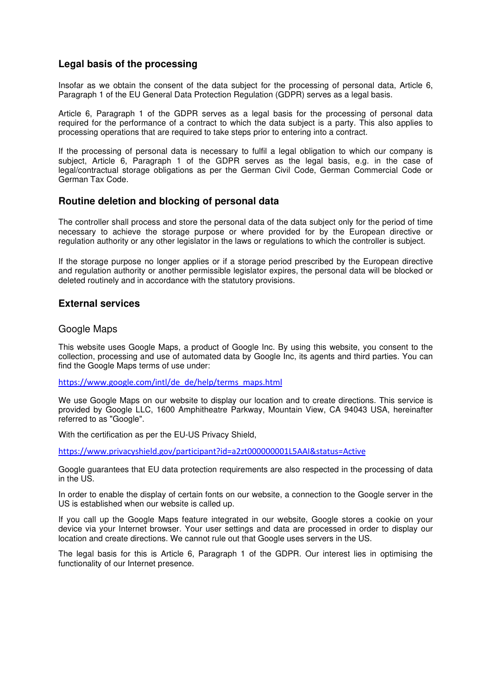## **Legal basis of the processing**

Insofar as we obtain the consent of the data subject for the processing of personal data, Article 6, Paragraph 1 of the EU General Data Protection Regulation (GDPR) serves as a legal basis.

Article 6, Paragraph 1 of the GDPR serves as a legal basis for the processing of personal data required for the performance of a contract to which the data subject is a party. This also applies to processing operations that are required to take steps prior to entering into a contract.

If the processing of personal data is necessary to fulfil a legal obligation to which our company is subject, Article 6, Paragraph 1 of the GDPR serves as the legal basis, e.g. in the case of legal/contractual storage obligations as per the German Civil Code, German Commercial Code or German Tax Code.

## **Routine deletion and blocking of personal data**

The controller shall process and store the personal data of the data subject only for the period of time necessary to achieve the storage purpose or where provided for by the European directive or regulation authority or any other legislator in the laws or regulations to which the controller is subject.

If the storage purpose no longer applies or if a storage period prescribed by the European directive and regulation authority or another permissible legislator expires, the personal data will be blocked or deleted routinely and in accordance with the statutory provisions.

## **External services**

#### Google Maps

This website uses Google Maps, a product of Google Inc. By using this website, you consent to the collection, processing and use of automated data by Google Inc, its agents and third parties. You can find the Google Maps terms of use under:

https://www.google.com/intl/de\_de/help/terms\_maps.html

We use Google Maps on our website to display our location and to create directions. This service is provided by Google LLC, 1600 Amphitheatre Parkway, Mountain View, CA 94043 USA, hereinafter referred to as "Google".

With the certification as per the EU-US Privacy Shield,

https://www.privacyshield.gov/participant?id=a2zt000000001L5AAI&status=Active

Google guarantees that EU data protection requirements are also respected in the processing of data in the US.

In order to enable the display of certain fonts on our website, a connection to the Google server in the US is established when our website is called up.

If you call up the Google Maps feature integrated in our website, Google stores a cookie on your device via your Internet browser. Your user settings and data are processed in order to display our location and create directions. We cannot rule out that Google uses servers in the US.

The legal basis for this is Article 6, Paragraph 1 of the GDPR. Our interest lies in optimising the functionality of our Internet presence.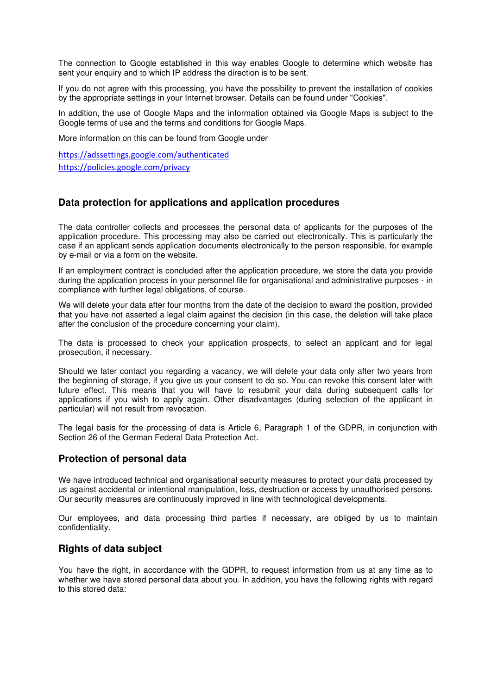The connection to Google established in this way enables Google to determine which website has sent your enquiry and to which IP address the direction is to be sent.

If you do not agree with this processing, you have the possibility to prevent the installation of cookies by the appropriate settings in your Internet browser. Details can be found under "Cookies".

In addition, the use of Google Maps and the information obtained via Google Maps is subject to the Google terms of use and the terms and conditions for Google Maps.

More information on this can be found from Google under

https://adssettings.google.com/authenticated https://policies.google.com/privacy

## **Data protection for applications and application procedures**

The data controller collects and processes the personal data of applicants for the purposes of the application procedure. This processing may also be carried out electronically. This is particularly the case if an applicant sends application documents electronically to the person responsible, for example by e-mail or via a form on the website.

If an employment contract is concluded after the application procedure, we store the data you provide during the application process in your personnel file for organisational and administrative purposes - in compliance with further legal obligations, of course.

We will delete your data after four months from the date of the decision to award the position, provided that you have not asserted a legal claim against the decision (in this case, the deletion will take place after the conclusion of the procedure concerning your claim).

The data is processed to check your application prospects, to select an applicant and for legal prosecution, if necessary.

Should we later contact you regarding a vacancy, we will delete your data only after two years from the beginning of storage, if you give us your consent to do so. You can revoke this consent later with future effect. This means that you will have to resubmit your data during subsequent calls for applications if you wish to apply again. Other disadvantages (during selection of the applicant in particular) will not result from revocation.

The legal basis for the processing of data is Article 6, Paragraph 1 of the GDPR, in conjunction with Section 26 of the German Federal Data Protection Act.

## **Protection of personal data**

We have introduced technical and organisational security measures to protect your data processed by us against accidental or intentional manipulation, loss, destruction or access by unauthorised persons. Our security measures are continuously improved in line with technological developments.

Our employees, and data processing third parties if necessary, are obliged by us to maintain confidentiality.

## **Rights of data subject**

You have the right, in accordance with the GDPR, to request information from us at any time as to whether we have stored personal data about you. In addition, you have the following rights with regard to this stored data: